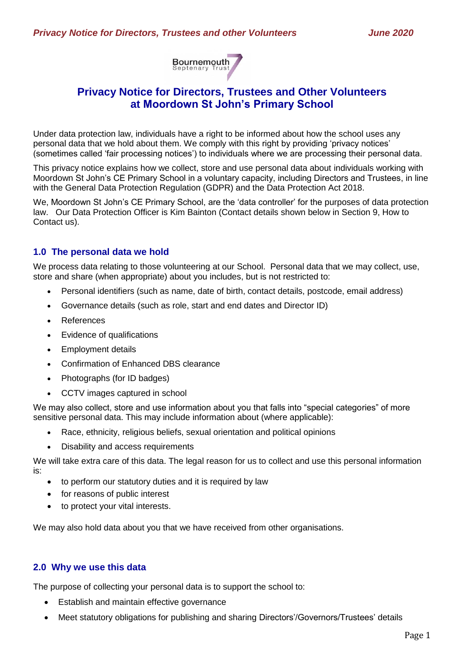

# **Privacy Notice for Directors, Trustees and Other Volunteers at Moordown St John's Primary School**

Under data protection law, individuals have a right to be informed about how the school uses any personal data that we hold about them. We comply with this right by providing 'privacy notices' (sometimes called 'fair processing notices') to individuals where we are processing their personal data.

This privacy notice explains how we collect, store and use personal data about individuals working with Moordown St John's CE Primary School in a voluntary capacity, including Directors and Trustees, in line with the General Data Protection Regulation (GDPR) and the Data Protection Act 2018.

We, Moordown St John's CE Primary School, are the 'data controller' for the purposes of data protection law. Our Data Protection Officer is Kim Bainton (Contact details shown below in Section 9, How to Contact us).

# **1.0 The personal data we hold**

We process data relating to those volunteering at our School. Personal data that we may collect, use, store and share (when appropriate) about you includes, but is not restricted to:

- Personal identifiers (such as name, date of birth, contact details, postcode, email address)
- Governance details (such as role, start and end dates and Director ID)
- References
- Evidence of qualifications
- Employment details
- Confirmation of Enhanced DBS clearance
- Photographs (for ID badges)
- CCTV images captured in school

We may also collect, store and use information about you that falls into "special categories" of more sensitive personal data. This may include information about (where applicable):

- Race, ethnicity, religious beliefs, sexual orientation and political opinions
- Disability and access requirements

We will take extra care of this data. The legal reason for us to collect and use this personal information is:

- to perform our statutory duties and it is required by law
- for reasons of public interest
- to protect your vital interests.

We may also hold data about you that we have received from other organisations.

#### **2.0 Why we use this data**

The purpose of collecting your personal data is to support the school to:

- Establish and maintain effective governance
- Meet statutory obligations for publishing and sharing Directors'/Governors/Trustees' details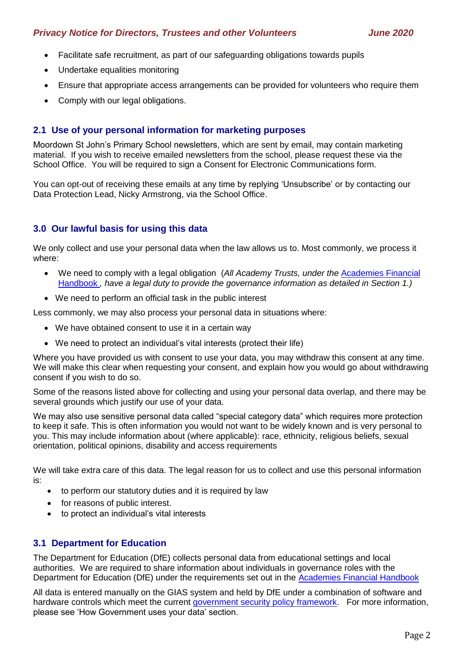- Facilitate safe recruitment, as part of our safeguarding obligations towards pupils
- Undertake equalities monitoring
- Ensure that appropriate access arrangements can be provided for volunteers who require them
- Comply with our legal obligations.

## **2.1 Use of your personal information for marketing purposes**

Moordown St John's Primary School newsletters, which are sent by email, may contain marketing material. If you wish to receive emailed newsletters from the school, please request these via the School Office. You will be required to sign a Consent for Electronic Communications form.

You can opt-out of receiving these emails at any time by replying 'Unsubscribe' or by contacting our Data Protection Lead, Nicky Armstrong, via the School Office.

# **3.0 Our lawful basis for using this data**

We only collect and use your personal data when the law allows us to. Most commonly, we process it where:

- We need to comply with a legal obligation (*All Academy Trusts, under the* [Academies Financial](https://www.gov.uk/government/publications/academies-financial-handbook)  [Handbook](https://www.gov.uk/government/publications/academies-financial-handbook) *, have a legal duty to provide the governance information as detailed in Section 1.)*
- We need to perform an official task in the public interest

Less commonly, we may also process your personal data in situations where:

- We have obtained consent to use it in a certain way
- We need to protect an individual's vital interests (protect their life)

Where you have provided us with consent to use your data, you may withdraw this consent at any time. We will make this clear when requesting your consent, and explain how you would go about withdrawing consent if you wish to do so.

Some of the reasons listed above for collecting and using your personal data overlap, and there may be several grounds which justify our use of your data.

We may also use sensitive personal data called "special category data" which requires more protection to keep it safe. This is often information you would not want to be widely known and is very personal to you. This may include information about (where applicable): race, ethnicity, religious beliefs, sexual orientation, political opinions, disability and access requirements

We will take extra care of this data. The legal reason for us to collect and use this personal information is:

- to perform our statutory duties and it is required by law
- for reasons of public interest.
- to protect an individual's vital interests

# **3.1 Department for Education**

The Department for Education (DfE) collects personal data from educational settings and local authorities. We are required to share information about individuals in governance roles with the Department for Education (DfE) under the requirements set out in the [Academies Financial Handbook](https://www.gov.uk/government/publications/academies-financial-handbook) 

All data is entered manually on the GIAS system and held by DfE under a combination of software and hardware controls which meet the current [government security policy framework.](https://www.gov.uk/government/publications/security-policy-framework) For more information, please see 'How Government uses your data' section.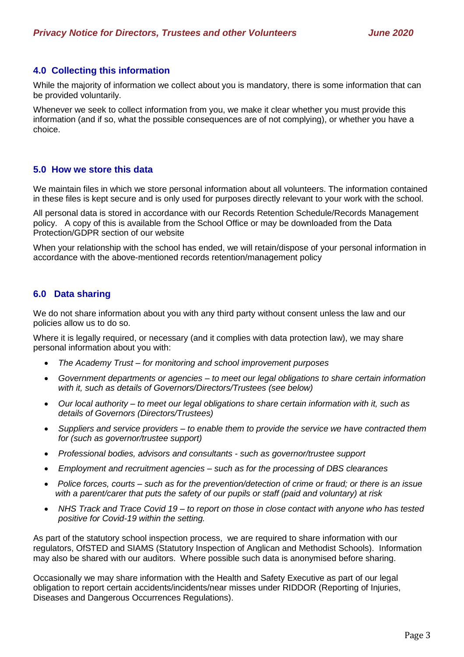## **4.0 Collecting this information**

While the majority of information we collect about you is mandatory, there is some information that can be provided voluntarily.

Whenever we seek to collect information from you, we make it clear whether you must provide this information (and if so, what the possible consequences are of not complying), or whether you have a choice.

#### **5.0 How we store this data**

We maintain files in which we store personal information about all volunteers. The information contained in these files is kept secure and is only used for purposes directly relevant to your work with the school.

All personal data is stored in accordance with our Records Retention Schedule/Records Management policy. A copy of this is available from the School Office or may be downloaded from the Data Protection/GDPR section of our website

When your relationship with the school has ended, we will retain/dispose of your personal information in accordance with the above-mentioned records retention/management policy

## **6.0 Data sharing**

We do not share information about you with any third party without consent unless the law and our policies allow us to do so.

Where it is legally required, or necessary (and it complies with data protection law), we may share personal information about you with:

- *The Academy Trust – for monitoring and school improvement purposes*
- *Government departments or agencies – to meet our legal obligations to share certain information with it, such as details of Governors/Directors/Trustees (see below)*
- *Our local authority – to meet our legal obligations to share certain information with it, such as details of Governors (Directors/Trustees)*
- *Suppliers and service providers – to enable them to provide the service we have contracted them for (such as governor/trustee support)*
- *Professional bodies, advisors and consultants - such as governor/trustee support*
- *Employment and recruitment agencies – such as for the processing of DBS clearances*
- *Police forces, courts – such as for the prevention/detection of crime or fraud; or there is an issue with a parent/carer that puts the safety of our pupils or staff (paid and voluntary) at risk*
- *NHS Track and Trace Covid 19 – to report on those in close contact with anyone who has tested positive for Covid-19 within the setting.*

As part of the statutory school inspection process, we are required to share information with our regulators, OfSTED and SIAMS (Statutory Inspection of Anglican and Methodist Schools). Information may also be shared with our auditors. Where possible such data is anonymised before sharing.

Occasionally we may share information with the Health and Safety Executive as part of our legal obligation to report certain accidents/incidents/near misses under RIDDOR (Reporting of Injuries, Diseases and Dangerous Occurrences Regulations).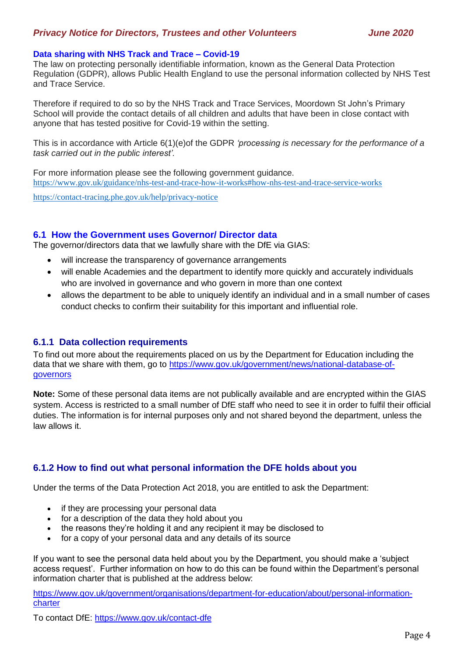## *Privacy Notice for Directors, Trustees and other Volunteers June 2020*

#### **Data sharing with NHS Track and Trace – Covid-19**

The law on protecting personally identifiable information, known as the General Data Protection Regulation (GDPR), allows Public Health England to use the personal information collected by NHS Test and Trace Service.

Therefore if required to do so by the NHS Track and Trace Services, Moordown St John's Primary School will provide the contact details of all children and adults that have been in close contact with anyone that has tested positive for Covid-19 within the setting.

This is in accordance with Article 6(1)(e)of the GDPR *'processing is necessary for the performance of a task carried out in the public interest'.*

For more information please see the following government guidance. <https://www.gov.uk/guidance/nhs-test-and-trace-how-it-works#how-nhs-test-and-trace-service-works>

<https://contact-tracing.phe.gov.uk/help/privacy-notice>

#### **6.1 How the Government uses Governor/ Director data**

The governor/directors data that we lawfully share with the DfE via GIAS:

- will increase the transparency of governance arrangements
- will enable Academies and the department to identify more quickly and accurately individuals who are involved in governance and who govern in more than one context
- allows the department to be able to uniquely identify an individual and in a small number of cases conduct checks to confirm their suitability for this important and influential role.

#### **6.1.1 Data collection requirements**

To find out more about the requirements placed on us by the Department for Education including the data that we share with them, go to [https://www.gov.uk/government/news/national-database-of](https://www.gov.uk/government/news/national-database-of-governors)[governors](https://www.gov.uk/government/news/national-database-of-governors)

**Note:** Some of these personal data items are not publically available and are encrypted within the GIAS system. Access is restricted to a small number of DfE staff who need to see it in order to fulfil their official duties. The information is for internal purposes only and not shared beyond the department, unless the law allows it.

# **6.1.2 How to find out what personal information the DFE holds about you**

Under the terms of the Data Protection Act 2018, you are entitled to ask the Department:

- if they are processing your personal data
- for a description of the data they hold about you
- the reasons they're holding it and any recipient it may be disclosed to
- for a copy of your personal data and any details of its source

If you want to see the personal data held about you by the Department, you should make a 'subject access request'. Further information on how to do this can be found within the Department's personal information charter that is published at the address below:

[https://www.gov.uk/government/organisations/department-for-education/about/personal-information](https://www.gov.uk/government/organisations/department-for-education/about/personal-information-charter)[charter](https://www.gov.uk/government/organisations/department-for-education/about/personal-information-charter)

To contact DfE:<https://www.gov.uk/contact-dfe>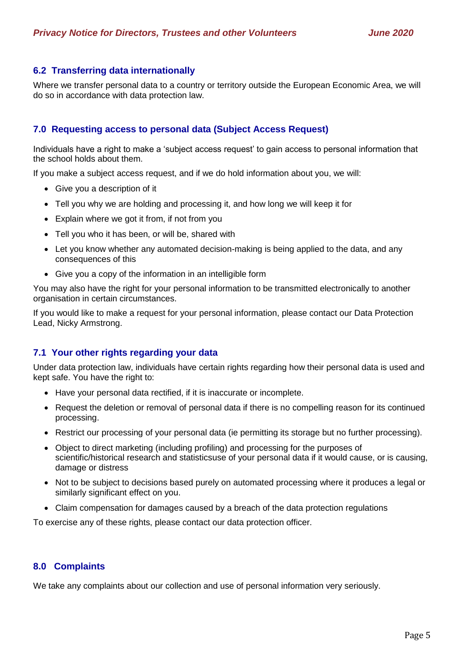## **6.2 Transferring data internationally**

Where we transfer personal data to a country or territory outside the European Economic Area, we will do so in accordance with data protection law.

## **7.0 Requesting access to personal data (Subject Access Request)**

Individuals have a right to make a 'subject access request' to gain access to personal information that the school holds about them.

If you make a subject access request, and if we do hold information about you, we will:

- Give you a description of it
- Tell you why we are holding and processing it, and how long we will keep it for
- Explain where we got it from, if not from you
- Tell you who it has been, or will be, shared with
- Let you know whether any automated decision-making is being applied to the data, and any consequences of this
- Give you a copy of the information in an intelligible form

You may also have the right for your personal information to be transmitted electronically to another organisation in certain circumstances.

If you would like to make a request for your personal information, please contact our Data Protection Lead, Nicky Armstrong.

#### **7.1 Your other rights regarding your data**

Under data protection law, individuals have certain rights regarding how their personal data is used and kept safe. You have the right to:

- Have your personal data rectified, if it is inaccurate or incomplete.
- Request the deletion or removal of personal data if there is no compelling reason for its continued processing.
- Restrict our processing of your personal data (ie permitting its storage but no further processing).
- Object to direct marketing (including profiling) and processing for the purposes of scientific/historical research and statisticsuse of your personal data if it would cause, or is causing, damage or distress
- Not to be subject to decisions based purely on automated processing where it produces a legal or similarly significant effect on you.
- Claim compensation for damages caused by a breach of the data protection regulations

To exercise any of these rights, please contact our data protection officer.

#### **8.0 Complaints**

We take any complaints about our collection and use of personal information very seriously.